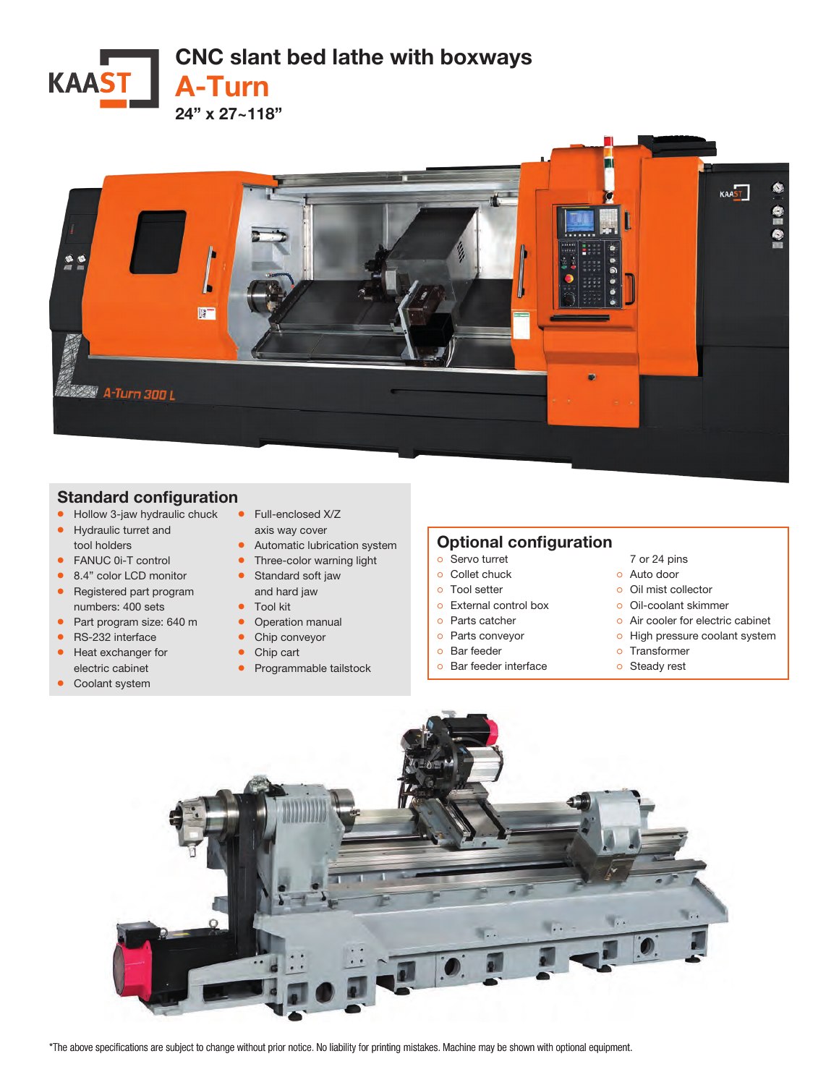



## Standard configuration

- Hollow 3-jaw hydraulic chuck • Hydraulic turret and
- tool holders
- FANUC 0i-T control ● 8.4" color LCD monitor
- 
- Registered part program numbers: 400 sets
- Part program size: 640 m
- RS-232 interface
- Heat exchanger for electric cabinet
- Coolant system
- Full-enclosed X/Z
	- axis way cover
- Automatic lubrication system
- Three-color warning light • Standard soft jaw
- and hard jaw
- Tool kit
- Operation manual
- Chip conveyor
- Chip cart
- Programmable tailstock

## Optional configuration

## ੦ Servo turret

- ੦ Collet chuck
- ੦ Tool setter
- ੦ External control box
- ੦ Parts catcher
- ੦ Parts conveyor
- ੦ Bar feeder
- ੦ Bar feeder interface
- 7 or 24 pins
- ੦ Auto door
- ੦ Oil mist collector
- ੦ Oil-coolant skimmer
- o Air cooler for electric cabinet
- o High pressure coolant system
- ੦ Transformer
- ੦ Steady rest